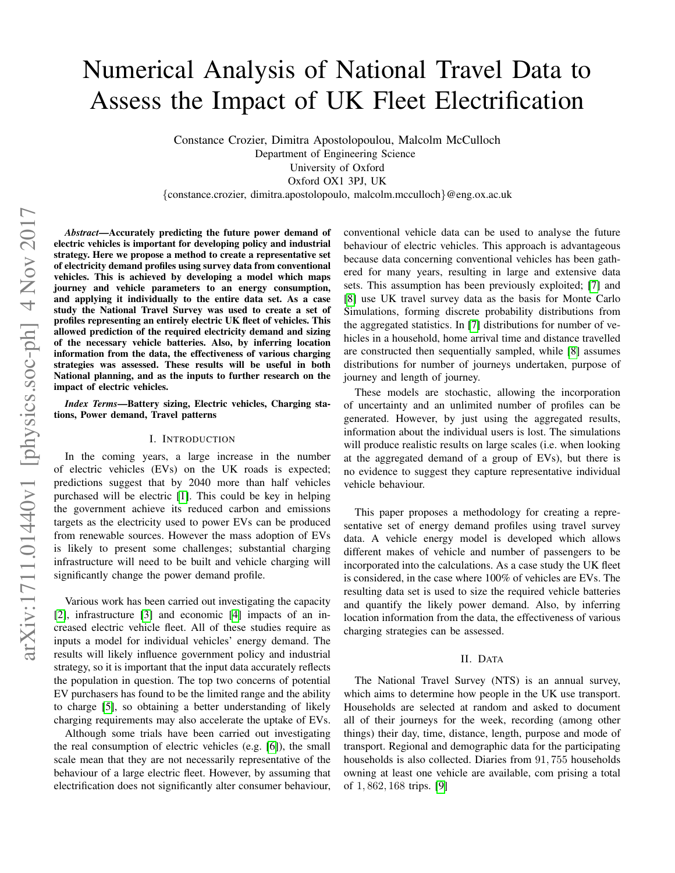# Numerical Analysis of National Travel Data to Assess the Impact of UK Fleet Electrification

Constance Crozier, Dimitra Apostolopoulou, Malcolm McCulloch

Department of Engineering Science

University of Oxford

Oxford OX1 3PJ, UK

*{*constance.crozier, dimitra.apostolopoulo, malcolm.mcculloch*}*@eng.ox.ac.uk

*Abstract*—Accurately predicting the future power demand of electric vehicles is important for developing policy and industrial strategy. Here we propose a method to create a representative set of electricity demand profiles using survey data from conventional vehicles. This is achieved by developing a model which maps journey and vehicle parameters to an energy consumption, and applying it individually to the entire data set. As a case study the National Travel Survey was used to create a set of profiles representing an entirely electric UK fleet of vehicles. This allowed prediction of the required electricity demand and sizing of the necessary vehicle batteries. Also, by inferring location information from the data, the effectiveness of various charging strategies was assessed. These results will be useful in both National planning, and as the inputs to further research on the impact of electric vehicles.

*Index Terms*—Battery sizing, Electric vehicles, Charging stations, Power demand, Travel patterns

## I. INTRODUCTION

In the coming years, a large increase in the number of electric vehicles (EVs) on the UK roads is expected; predictions suggest that by 2040 more than half vehicles purchased will be electric  $[T]$ . This could be key in helping the government achieve its reduced carbon and emissions targets as the electricity used to power EVs can be produced from renewable sources. However the mass adoption of EVs is likely to present some challenges; substantial charging infrastructure will need to be built and vehicle charging will significantly change the power demand profile.

Various work has been carried out investigating the capacity  $[2]$ , infrastructure  $[3]$  and economic  $[4]$  impacts of an increased electric vehicle fleet. All of these studies require as inputs a model for individual vehicles' energy demand. The results will likely influence government policy and industrial strategy, so it is important that the input data accurately reflects the population in question. The top two concerns of potential EV purchasers has found to be the limited range and the ability to charge [5], so obtaining a better understanding of likely charging requirements may also accelerate the uptake of EVs.

Although some trials have been carried out investigating the real consumption of electric vehicles (e.g.  $\overline{6}$ ), the small scale mean that they are not necessarily representative of the behaviour of a large electric fleet. However, by assuming that electrification does not significantly alter consumer behaviour,

conventional vehicle data can be used to analyse the future behaviour of electric vehicles. This approach is advantageous because data concerning conventional vehicles has been gathered for many years, resulting in large and extensive data sets. This assumption has been previously exploited; [7] and [8] use UK travel survey data as the basis for Monte Carlo Simulations, forming discrete probability distributions from the aggregated statistics. In  $\boxed{7}$  distributions for number of vehicles in a household, home arrival time and distance travelled are constructed then sequentially sampled, while [8] assumes distributions for number of journeys undertaken, purpose of journey and length of journey.

These models are stochastic, allowing the incorporation of uncertainty and an unlimited number of profiles can be generated. However, by just using the aggregated results, information about the individual users is lost. The simulations will produce realistic results on large scales (i.e. when looking at the aggregated demand of a group of EVs), but there is no evidence to suggest they capture representative individual vehicle behaviour.

This paper proposes a methodology for creating a representative set of energy demand profiles using travel survey data. A vehicle energy model is developed which allows different makes of vehicle and number of passengers to be incorporated into the calculations. As a case study the UK fleet is considered, in the case where 100% of vehicles are EVs. The resulting data set is used to size the required vehicle batteries and quantify the likely power demand. Also, by inferring location information from the data, the effectiveness of various charging strategies can be assessed.

## II. DATA

The National Travel Survey (NTS) is an annual survey, which aims to determine how people in the UK use transport. Households are selected at random and asked to document all of their journeys for the week, recording (among other things) their day, time, distance, length, purpose and mode of transport. Regional and demographic data for the participating households is also collected. Diaries from 91*,* 755 households owning at least one vehicle are available, com prising a total of 1*,* 862*,* 168 trips. [9]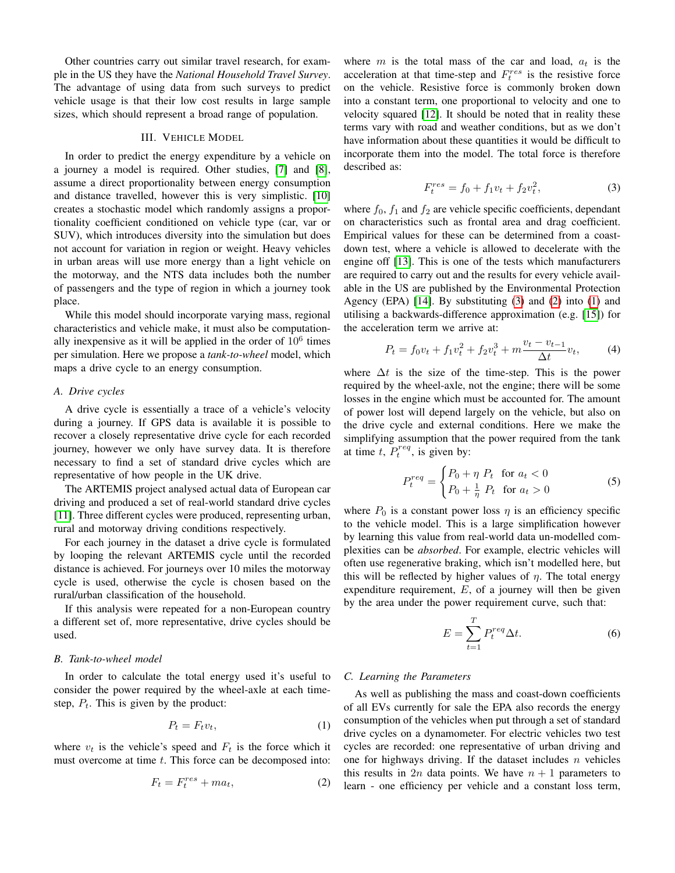Other countries carry out similar travel research, for example in the US they have the *National Household Travel Survey*. The advantage of using data from such surveys to predict vehicle usage is that their low cost results in large sample sizes, which should represent a broad range of population.

# III. VEHICLE MODEL

In order to predict the energy expenditure by a vehicle on a journey a model is required. Other studies,  $[7]$  and  $[8]$ , assume a direct proportionality between energy consumption and distance travelled, however this is very simplistic. [10] creates a stochastic model which randomly assigns a proportionality coefficient conditioned on vehicle type (car, var or SUV), which introduces diversity into the simulation but does not account for variation in region or weight. Heavy vehicles in urban areas will use more energy than a light vehicle on the motorway, and the NTS data includes both the number of passengers and the type of region in which a journey took place.

While this model should incorporate varying mass, regional characteristics and vehicle make, it must also be computationally inexpensive as it will be applied in the order of  $10<sup>6</sup>$  times per simulation. Here we propose a *tank-to-wheel* model, which maps a drive cycle to an energy consumption.

## *A. Drive cycles*

A drive cycle is essentially a trace of a vehicle's velocity during a journey. If GPS data is available it is possible to recover a closely representative drive cycle for each recorded journey, however we only have survey data. It is therefore necessary to find a set of standard drive cycles which are representative of how people in the UK drive.

The ARTEMIS project analysed actual data of European car driving and produced a set of real-world standard drive cycles [11]. Three different cycles were produced, representing urban, rural and motorway driving conditions respectively.

For each journey in the dataset a drive cycle is formulated by looping the relevant ARTEMIS cycle until the recorded distance is achieved. For journeys over 10 miles the motorway cycle is used, otherwise the cycle is chosen based on the rural/urban classification of the household.

If this analysis were repeated for a non-European country a different set of, more representative, drive cycles should be used.

# *B. Tank-to-wheel model*

In order to calculate the total energy used it's useful to consider the power required by the wheel-axle at each timestep,  $P_t$ . This is given by the product:

$$
P_t = F_t v_t,\tag{1}
$$

where  $v_t$  is the vehicle's speed and  $F_t$  is the force which it must overcome at time *t*. This force can be decomposed into:

$$
F_t = F_t^{res} + ma_t,\t\t(2)
$$

where  $m$  is the total mass of the car and load,  $a_t$  is the acceleration at that time-step and  $F_t^{res}$  is the resistive force on the vehicle. Resistive force is commonly broken down into a constant term, one proportional to velocity and one to velocity squared  $\boxed{12}$ . It should be noted that in reality these terms vary with road and weather conditions, but as we don't have information about these quantities it would be difficult to incorporate them into the model. The total force is therefore described as:

$$
F_t^{res} = f_0 + f_1 v_t + f_2 v_t^2, \tag{3}
$$

where  $f_0$ ,  $f_1$  and  $f_2$  are vehicle specific coefficients, dependant on characteristics such as frontal area and drag coefficient. Empirical values for these can be determined from a coastdown test, where a vehicle is allowed to decelerate with the engine off  $[13]$ . This is one of the tests which manufacturers are required to carry out and the results for every vehicle available in the US are published by the Environmental Protection Agency (EPA)  $\boxed{14}$ . By substituting  $\boxed{3}$  and  $\boxed{2}$  into  $\boxed{1}$  and utilising a backwards-difference approximation (e.g.  $[15]$ ) for the acceleration term we arrive at:

$$
P_t = f_0 v_t + f_1 v_t^2 + f_2 v_t^3 + m \frac{v_t - v_{t-1}}{\Delta t} v_t, \tag{4}
$$

where  $\Delta t$  is the size of the time-step. This is the power required by the wheel-axle, not the engine; there will be some losses in the engine which must be accounted for. The amount of power lost will depend largely on the vehicle, but also on the drive cycle and external conditions. Here we make the simplifying assumption that the power required from the tank at time  $t$ ,  $P_t^{req}$ , is given by:

$$
P_t^{req} = \begin{cases} P_0 + \eta \ P_t & \text{for } a_t < 0\\ P_0 + \frac{1}{\eta} \ P_t & \text{for } a_t > 0 \end{cases}
$$
 (5)

where  $P_0$  is a constant power loss  $\eta$  is an efficiency specific to the vehicle model. This is a large simplification however by learning this value from real-world data un-modelled complexities can be *absorbed*. For example, electric vehicles will often use regenerative braking, which isn't modelled here, but this will be reflected by higher values of  $\eta$ . The total energy expenditure requirement, *E*, of a journey will then be given by the area under the power requirement curve, such that:

$$
E = \sum_{t=1}^{T} P_t^{req} \Delta t.
$$
 (6)

#### *C. Learning the Parameters*

As well as publishing the mass and coast-down coefficients of all EVs currently for sale the EPA also records the energy consumption of the vehicles when put through a set of standard drive cycles on a dynamometer. For electric vehicles two test cycles are recorded: one representative of urban driving and one for highways driving. If the dataset includes *n* vehicles this results in 2*n* data points. We have  $n + 1$  parameters to learn - one efficiency per vehicle and a constant loss term,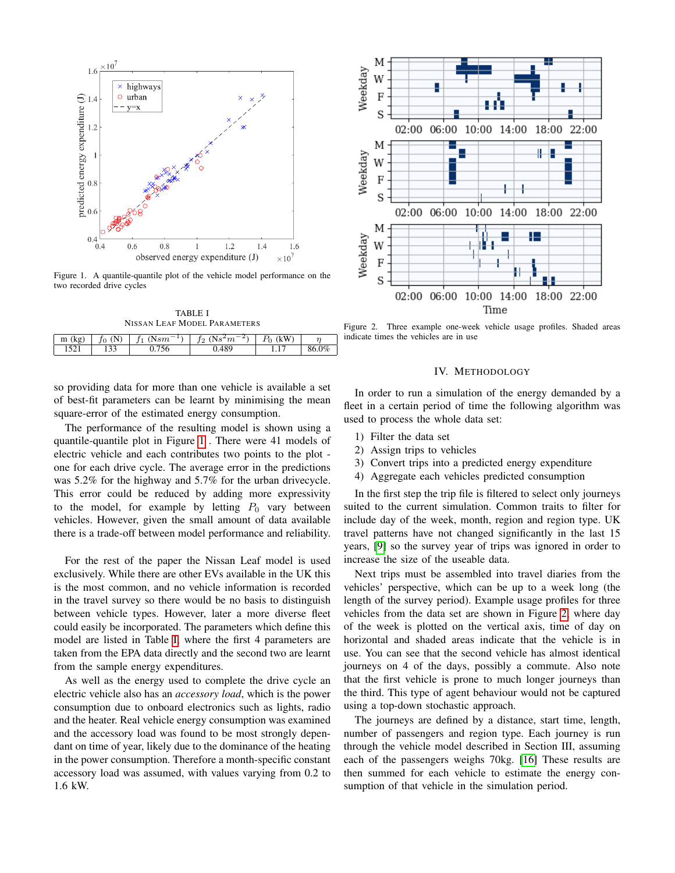

Figure 1. A quantile-quantile plot of the vehicle model performance on the two recorded drive cycles



| m (kg) | . IN<br>ŤΩ | $-1$<br>(N $\,$ s $m$ | $\rightarrow$<br>$(Ns^2m)$<br>Ť2 | (kW) |       |
|--------|------------|-----------------------|----------------------------------|------|-------|
|        |            |                       |                                  |      | 86.0% |

so providing data for more than one vehicle is available a set of best-fit parameters can be learnt by minimising the mean square-error of the estimated energy consumption.

The performance of the resulting model is shown using a quantile-quantile plot in Figure  $|1|$ . There were 41 models of electric vehicle and each contributes two points to the plot one for each drive cycle. The average error in the predictions was 5.2% for the highway and 5.7% for the urban drivecycle. This error could be reduced by adding more expressivity to the model, for example by letting  $P_0$  vary between vehicles. However, given the small amount of data available there is a trade-off between model performance and reliability.

For the rest of the paper the Nissan Leaf model is used exclusively. While there are other EVs available in the UK this is the most common, and no vehicle information is recorded in the travel survey so there would be no basis to distinguish between vehicle types. However, later a more diverse fleet could easily be incorporated. The parameters which define this model are listed in Table  $\overline{I}$ , where the first 4 parameters are taken from the EPA data directly and the second two are learnt from the sample energy expenditures.

As well as the energy used to complete the drive cycle an electric vehicle also has an *accessory load*, which is the power consumption due to onboard electronics such as lights, radio and the heater. Real vehicle energy consumption was examined and the accessory load was found to be most strongly dependant on time of year, likely due to the dominance of the heating in the power consumption. Therefore a month-specific constant accessory load was assumed, with values varying from 0.2 to 1.6 kW.



Figure 2. Three example one-week vehicle usage profiles. Shaded areas indicate times the vehicles are in use

#### IV. METHODOLOGY

In order to run a simulation of the energy demanded by a fleet in a certain period of time the following algorithm was used to process the whole data set:

- 1) Filter the data set
- 2) Assign trips to vehicles
- 3) Convert trips into a predicted energy expenditure
- 4) Aggregate each vehicles predicted consumption

In the first step the trip file is filtered to select only journeys suited to the current simulation. Common traits to filter for include day of the week, month, region and region type. UK travel patterns have not changed significantly in the last 15 years, **[9]** so the survey year of trips was ignored in order to increase the size of the useable data.

Next trips must be assembled into travel diaries from the vehicles' perspective, which can be up to a week long (the length of the survey period). Example usage profiles for three vehicles from the data set are shown in Figure  $\sqrt{2}$ , where day of the week is plotted on the vertical axis, time of day on horizontal and shaded areas indicate that the vehicle is in use. You can see that the second vehicle has almost identical journeys on 4 of the days, possibly a commute. Also note that the first vehicle is prone to much longer journeys than the third. This type of agent behaviour would not be captured using a top-down stochastic approach.

The journeys are defined by a distance, start time, length, number of passengers and region type. Each journey is run through the vehicle model described in Section III, assuming each of the passengers weighs 70kg. [16] These results are then summed for each vehicle to estimate the energy consumption of that vehicle in the simulation period.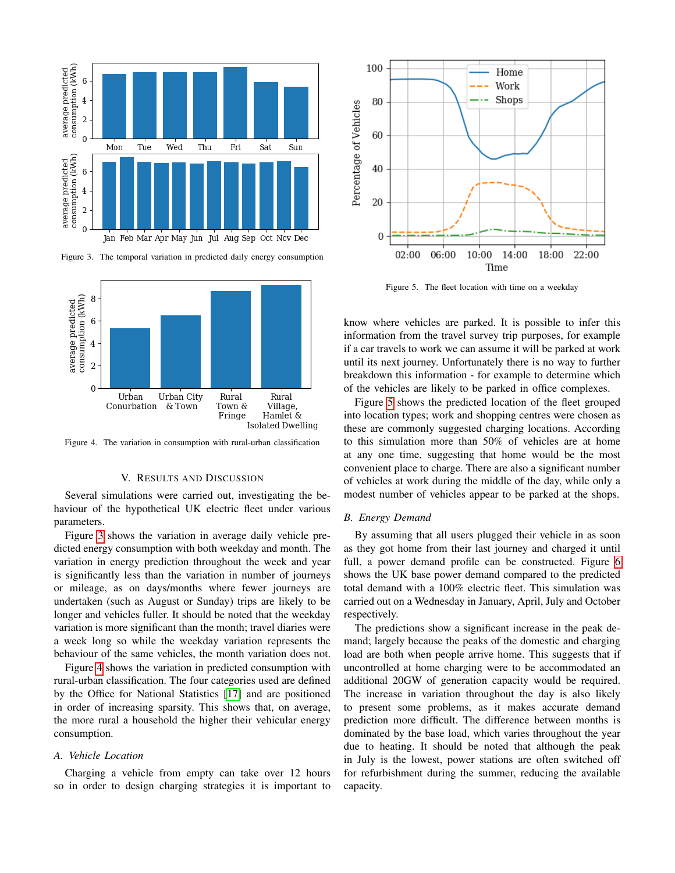

Figure 3. The temporal variation in predicted daily energy consumption



Figure 4. The variation in consumption with rural-urban classification

# V. RESULTS AND DISCUSSION

Several simulations were carried out, investigating the behaviour of the hypothetical UK electric fleet under various parameters.

Figure  $\overline{3}$  shows the variation in average daily vehicle predicted energy consumption with both weekday and month. The variation in energy prediction throughout the week and year is significantly less than the variation in number of journeys or mileage, as on days/months where fewer journeys are undertaken (such as August or Sunday) trips are likely to be longer and vehicles fuller. It should be noted that the weekday variation is more significant than the month; travel diaries were a week long so while the weekday variation represents the behaviour of the same vehicles, the month variation does not.

Figure  $\sqrt{4}$  shows the variation in predicted consumption with rural-urban classification. The four categories used are defined by the Office for National Statistics [17] and are positioned in order of increasing sparsity. This shows that, on average, the more rural a household the higher their vehicular energy consumption.

#### *A. Vehicle Location*

Charging a vehicle from empty can take over 12 hours so in order to design charging strategies it is important to



Figure 5. The fleet location with time on a weekday

know where vehicles are parked. It is possible to infer this information from the travel survey trip purposes, for example if a car travels to work we can assume it will be parked at work until its next journey. Unfortunately there is no way to further breakdown this information - for example to determine which of the vehicles are likely to be parked in office complexes.

Figure **5** shows the predicted location of the fleet grouped into location types; work and shopping centres were chosen as these are commonly suggested charging locations. According to this simulation more than 50% of vehicles are at home at any one time, suggesting that home would be the most convenient place to charge. There are also a significant number of vehicles at work during the middle of the day, while only a modest number of vehicles appear to be parked at the shops.

## *B. Energy Demand*

By assuming that all users plugged their vehicle in as soon as they got home from their last journey and charged it until full, a power demand profile can be constructed. Figure  $\overline{6}$ shows the UK base power demand compared to the predicted total demand with a 100% electric fleet. This simulation was carried out on a Wednesday in January, April, July and October respectively.

The predictions show a significant increase in the peak demand; largely because the peaks of the domestic and charging load are both when people arrive home. This suggests that if uncontrolled at home charging were to be accommodated an additional 20GW of generation capacity would be required. The increase in variation throughout the day is also likely to present some problems, as it makes accurate demand prediction more difficult. The difference between months is dominated by the base load, which varies throughout the year due to heating. It should be noted that although the peak in July is the lowest, power stations are often switched off for refurbishment during the summer, reducing the available capacity.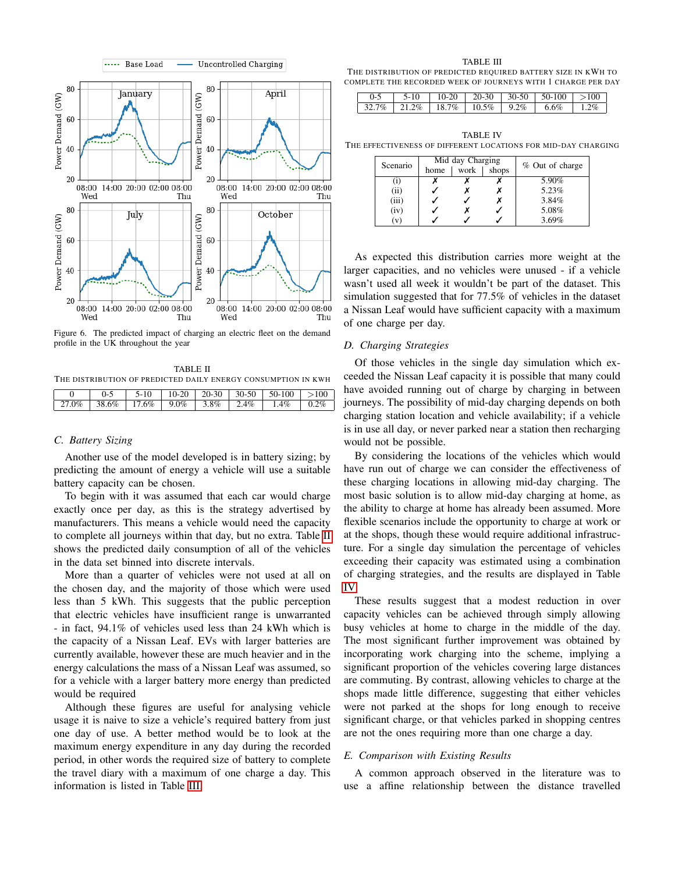

Figure 6. The predicted impact of charging an electric fleet on the demand profile in the UK throughout the year

TABLE II THE DISTRIBUTION OF PREDICTED DAILY ENERGY CONSUMPTION IN KWH

# *C. Battery Sizing*

Another use of the model developed is in battery sizing; by predicting the amount of energy a vehicle will use a suitable battery capacity can be chosen.

To begin with it was assumed that each car would charge exactly once per day, as this is the strategy advertised by manufacturers. This means a vehicle would need the capacity to complete all journeys within that day, but no extra. Table  $\overline{II}$ shows the predicted daily consumption of all of the vehicles in the data set binned into discrete intervals.

More than a quarter of vehicles were not used at all on the chosen day, and the majority of those which were used less than 5 kWh. This suggests that the public perception that electric vehicles have insufficient range is unwarranted - in fact, 94.1% of vehicles used less than 24 kWh which is the capacity of a Nissan Leaf. EVs with larger batteries are currently available, however these are much heavier and in the energy calculations the mass of a Nissan Leaf was assumed, so for a vehicle with a larger battery more energy than predicted would be required

Although these figures are useful for analysing vehicle usage it is naive to size a vehicle's required battery from just one day of use. A better method would be to look at the maximum energy expenditure in any day during the recorded period, in other words the required size of battery to complete the travel diary with a maximum of one charge a day. This information is listed in Table  $\overline{III}$ .

TABLE III THE DISTRIBUTION OF PREDICTED REQUIRED BATTERY SIZE IN KWH TO COMPLETE THE RECORDED WEEK OF JOURNEYS WITH 1 CHARGE PER DAY

| 5-10 |  | $10-20$   20-30   30-50   50-100   >100                     |  |
|------|--|-------------------------------------------------------------|--|
|      |  | $32.7\%$   21.2\%   18.7\%   10.5\%   9.2\%   6.6\%   1.2\% |  |

TABLE IV THE EFFECTIVENESS OF DIFFERENT LOCATIONS FOR MID-DAY CHARGING

| Scenario | Mid day Charging<br>work<br>shops<br>home |  |  | % Out of charge |
|----------|-------------------------------------------|--|--|-----------------|
| (1)      |                                           |  |  | 5.90%           |
| (ii)     |                                           |  |  | 5.23%           |
| (iii)    |                                           |  |  | 3.84%           |
| (iv)     |                                           |  |  | 5.08%           |
| (v)      |                                           |  |  | 3.69%           |

As expected this distribution carries more weight at the larger capacities, and no vehicles were unused - if a vehicle wasn't used all week it wouldn't be part of the dataset. This simulation suggested that for 77.5% of vehicles in the dataset a Nissan Leaf would have sufficient capacity with a maximum of one charge per day.

# *D. Charging Strategies*

Of those vehicles in the single day simulation which exceeded the Nissan Leaf capacity it is possible that many could have avoided running out of charge by charging in between journeys. The possibility of mid-day charging depends on both charging station location and vehicle availability; if a vehicle is in use all day, or never parked near a station then recharging would not be possible.

By considering the locations of the vehicles which would have run out of charge we can consider the effectiveness of these charging locations in allowing mid-day charging. The most basic solution is to allow mid-day charging at home, as the ability to charge at home has already been assumed. More flexible scenarios include the opportunity to charge at work or at the shops, though these would require additional infrastructure. For a single day simulation the percentage of vehicles exceeding their capacity was estimated using a combination of charging strategies, and the results are displayed in Table IV.

These results suggest that a modest reduction in over capacity vehicles can be achieved through simply allowing busy vehicles at home to charge in the middle of the day. The most significant further improvement was obtained by incorporating work charging into the scheme, implying a significant proportion of the vehicles covering large distances are commuting. By contrast, allowing vehicles to charge at the shops made little difference, suggesting that either vehicles were not parked at the shops for long enough to receive significant charge, or that vehicles parked in shopping centres are not the ones requiring more than one charge a day.

#### *E. Comparison with Existing Results*

A common approach observed in the literature was to use a affine relationship between the distance travelled